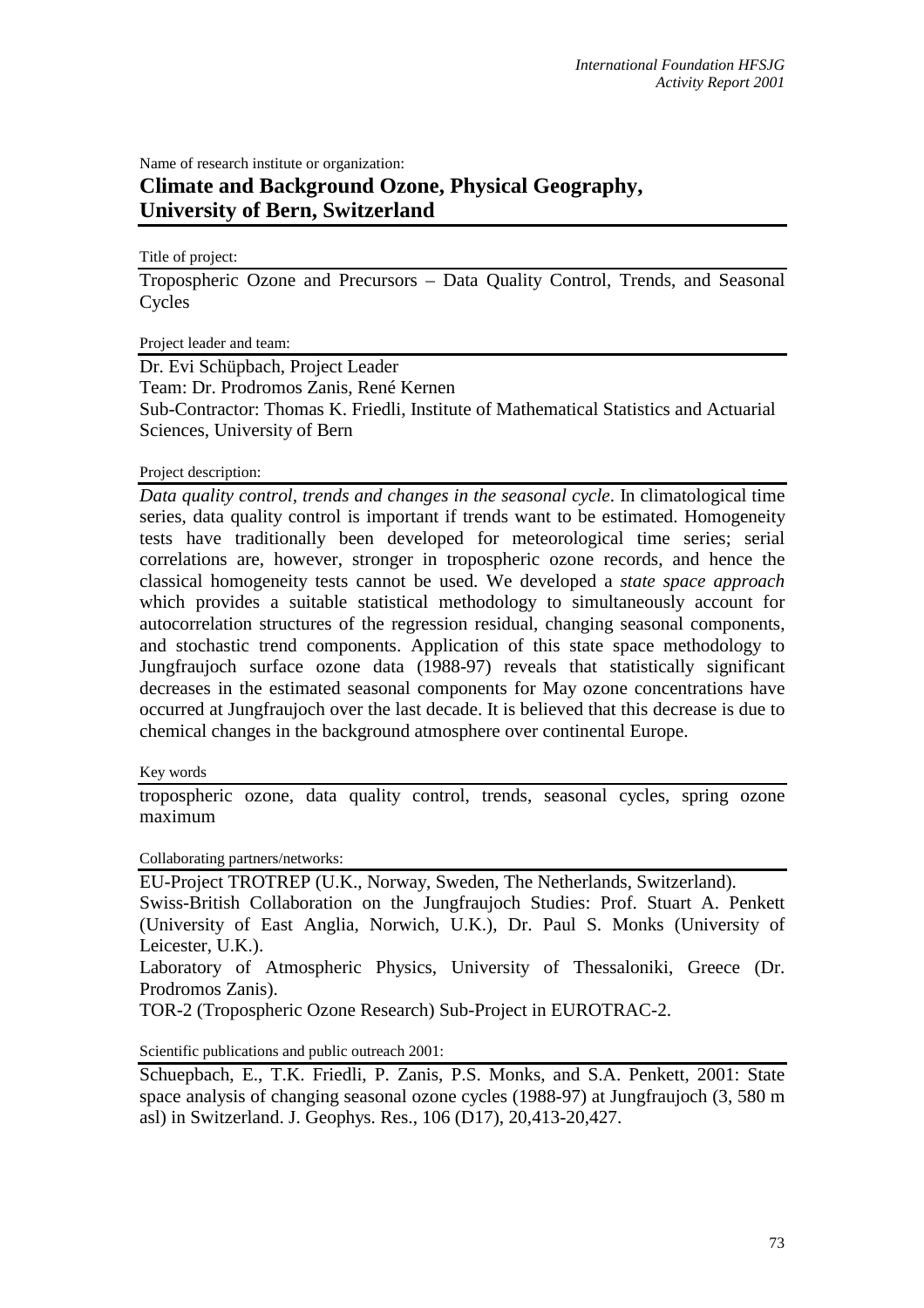Name of research institute or organization: **Climate and Background Ozone, Physical Geography, University of Bern, Switzerland** 

Title of project:

Tropospheric Ozone and Precursors – Data Quality Control, Trends, and Seasonal **Cycles** 

Project leader and team:

Dr. Evi Schüpbach, Project Leader

Team: Dr. Prodromos Zanis, René Kernen

Sub-Contractor: Thomas K. Friedli, Institute of Mathematical Statistics and Actuarial Sciences, University of Bern

## Project description:

*Data quality control, trends and changes in the seasonal cycle*. In climatological time series, data quality control is important if trends want to be estimated. Homogeneity tests have traditionally been developed for meteorological time series; serial correlations are, however, stronger in tropospheric ozone records, and hence the classical homogeneity tests cannot be used. We developed a *state space approach* which provides a suitable statistical methodology to simultaneously account for autocorrelation structures of the regression residual, changing seasonal components, and stochastic trend components. Application of this state space methodology to Jungfraujoch surface ozone data (1988-97) reveals that statistically significant decreases in the estimated seasonal components for May ozone concentrations have occurred at Jungfraujoch over the last decade. It is believed that this decrease is due to chemical changes in the background atmosphere over continental Europe.

## Key words

tropospheric ozone, data quality control, trends, seasonal cycles, spring ozone maximum

Collaborating partners/networks:

EU-Project TROTREP (U.K., Norway, Sweden, The Netherlands, Switzerland).

Swiss-British Collaboration on the Jungfraujoch Studies: Prof. Stuart A. Penkett (University of East Anglia, Norwich, U.K.), Dr. Paul S. Monks (University of Leicester, U.K.).

Laboratory of Atmospheric Physics, University of Thessaloniki, Greece (Dr. Prodromos Zanis).

TOR-2 (Tropospheric Ozone Research) Sub-Project in EUROTRAC-2.

Scientific publications and public outreach 2001:

Schuepbach, E., T.K. Friedli, P. Zanis, P.S. Monks, and S.A. Penkett, 2001: State space analysis of changing seasonal ozone cycles (1988-97) at Jungfraujoch (3, 580 m asl) in Switzerland. J. Geophys. Res., 106 (D17), 20,413-20,427.